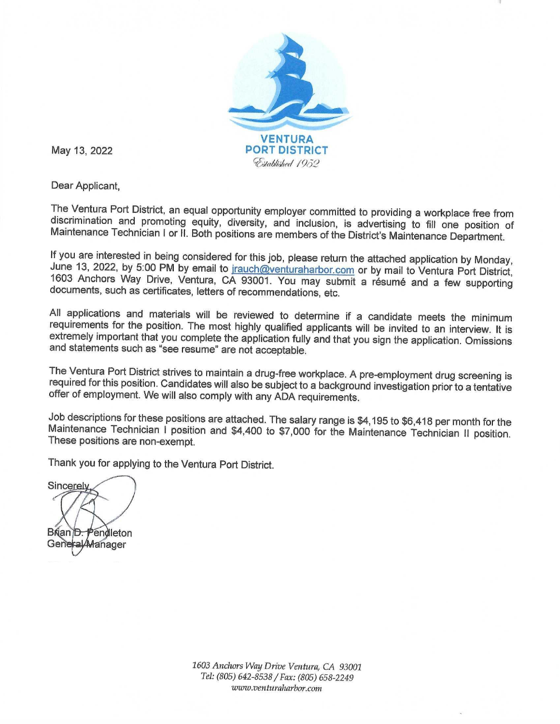

May 13, 2022

Dear Applicant,

The Ventura Port District, an equal opportunity employer committed to providing a workplace free from discrimination and promoting equity, diversity, and inclusion, is advertising to fill one position of Maintenance Technician I or II. Both positions are members of the District's Maintenance Department.

If you are interested in being considered for this job, please return the attached application by Monday, June 13, 2022, by 5:00 PM by email to jrauch@venturaharbor.com or by mail to Ventura Port District, 1603 Anchors Way Drive, Ventura, CA 93001. You may submit a résumé and a few supporting documents, such as certificates, letters of recommendations, etc.

All applications and materials will be reviewed to determine if a candidate meets the minimum requirements for the position. The most highly qualified applicants will be invited to an interview. It is extremely important that you complete the application fully and that you sign the application. Omissions and statements such as "see resume" are not acceptable.

The Ventura Port District strives to maintain a drug-free workplace. A pre-employment drug screening is required for this position. Candidates will also be subject to a background investigation prior to a tentative offer of employment. We will also comply with any ADA requirements.

Job descriptions for these positions are attached. The salary range is \$4,195 to \$6,418 per month for the Maintenance Technician I position and \$4,400 to \$7,000 for the Maintenance Technician II position. These positions are non-exempt.

Thank you for applying to the Ventura Port District.

Sincerely Brian D. Pendleton General Manager

1603 Anchors Way Drive Ventura, CA 93001 Tel: (805) 642-8538 / Fax: (805) 658-2249 www.venturaharbor.com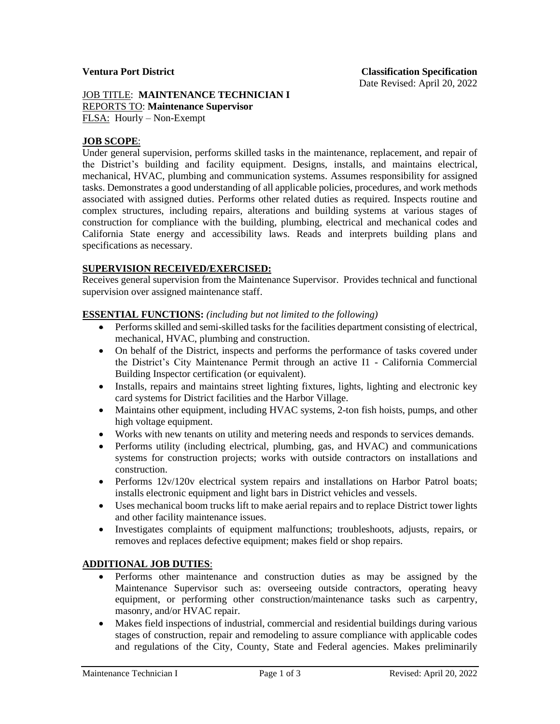### JOB TITLE: **MAINTENANCE TECHNICIAN I** REPORTS TO: **Maintenance Supervisor** FLSA: Hourly – Non-Exempt

## **JOB SCOPE**:

Under general supervision, performs skilled tasks in the maintenance, replacement, and repair of the District's building and facility equipment. Designs, installs, and maintains electrical, mechanical, HVAC, plumbing and communication systems. Assumes responsibility for assigned tasks. Demonstrates a good understanding of all applicable policies, procedures, and work methods associated with assigned duties. Performs other related duties as required. Inspects routine and complex structures, including repairs, alterations and building systems at various stages of construction for compliance with the building, plumbing, electrical and mechanical codes and California State energy and accessibility laws. Reads and interprets building plans and specifications as necessary.

## **SUPERVISION RECEIVED/EXERCISED:**

Receives general supervision from the Maintenance Supervisor. Provides technical and functional supervision over assigned maintenance staff.

## **ESSENTIAL FUNCTIONS:** *(including but not limited to the following)*

- Performs skilled and semi-skilled tasks for the facilities department consisting of electrical, mechanical, HVAC, plumbing and construction.
- On behalf of the District, inspects and performs the performance of tasks covered under the District's City Maintenance Permit through an active I1 - California Commercial Building Inspector certification (or equivalent).
- Installs, repairs and maintains street lighting fixtures, lights, lighting and electronic key card systems for District facilities and the Harbor Village.
- Maintains other equipment, including HVAC systems, 2-ton fish hoists, pumps, and other high voltage equipment.
- Works with new tenants on utility and metering needs and responds to services demands.
- Performs utility (including electrical, plumbing, gas, and HVAC) and communications systems for construction projects; works with outside contractors on installations and construction.
- Performs 12v/120v electrical system repairs and installations on Harbor Patrol boats; installs electronic equipment and light bars in District vehicles and vessels.
- Uses mechanical boom trucks lift to make aerial repairs and to replace District tower lights and other facility maintenance issues.
- Investigates complaints of equipment malfunctions; troubleshoots, adjusts, repairs, or removes and replaces defective equipment; makes field or shop repairs.

## **ADDITIONAL JOB DUTIES**:

- Performs other maintenance and construction duties as may be assigned by the Maintenance Supervisor such as: overseeing outside contractors, operating heavy equipment, or performing other construction/maintenance tasks such as carpentry, masonry, and/or HVAC repair.
- Makes field inspections of industrial, commercial and residential buildings during various stages of construction, repair and remodeling to assure compliance with applicable codes and regulations of the City, County, State and Federal agencies. Makes preliminarily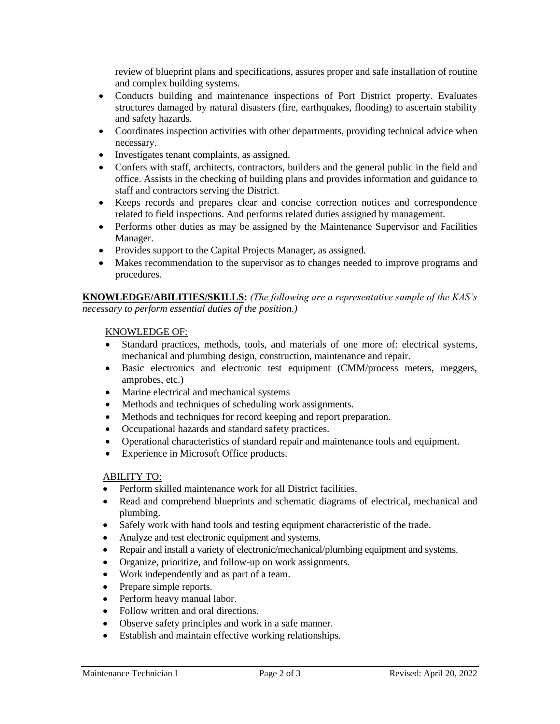review of blueprint plans and specifications, assures proper and safe installation of routine and complex building systems.

- Conducts building and maintenance inspections of Port District property. Evaluates structures damaged by natural disasters (fire, earthquakes, flooding) to ascertain stability and safety hazards.
- Coordinates inspection activities with other departments, providing technical advice when necessary.
- Investigates tenant complaints, as assigned.
- Confers with staff, architects, contractors, builders and the general public in the field and office. Assists in the checking of building plans and provides information and guidance to staff and contractors serving the District.
- Keeps records and prepares clear and concise correction notices and correspondence related to field inspections. And performs related duties assigned by management.
- Performs other duties as may be assigned by the Maintenance Supervisor and Facilities Manager.
- Provides support to the Capital Projects Manager, as assigned.
- Makes recommendation to the supervisor as to changes needed to improve programs and procedures.

**KNOWLEDGE/ABILITIES/SKILLS:** *(The following are a representative sample of the KAS's necessary to perform essential duties of the position.)* 

## KNOWLEDGE OF:

- Standard practices, methods, tools, and materials of one more of: electrical systems, mechanical and plumbing design, construction, maintenance and repair.
- Basic electronics and electronic test equipment (CMM/process meters, meggers, amprobes, etc.)
- Marine electrical and mechanical systems
- Methods and techniques of scheduling work assignments.
- Methods and techniques for record keeping and report preparation.
- Occupational hazards and standard safety practices.
- Operational characteristics of standard repair and maintenance tools and equipment.
- Experience in Microsoft Office products.

# ABILITY TO:

- Perform skilled maintenance work for all District facilities.
- Read and comprehend blueprints and schematic diagrams of electrical, mechanical and plumbing.
- Safely work with hand tools and testing equipment characteristic of the trade.
- Analyze and test electronic equipment and systems.
- Repair and install a variety of electronic/mechanical/plumbing equipment and systems.
- Organize, prioritize, and follow-up on work assignments.
- Work independently and as part of a team.
- Prepare simple reports.
- Perform heavy manual labor.
- Follow written and oral directions.
- Observe safety principles and work in a safe manner.
- Establish and maintain effective working relationships.